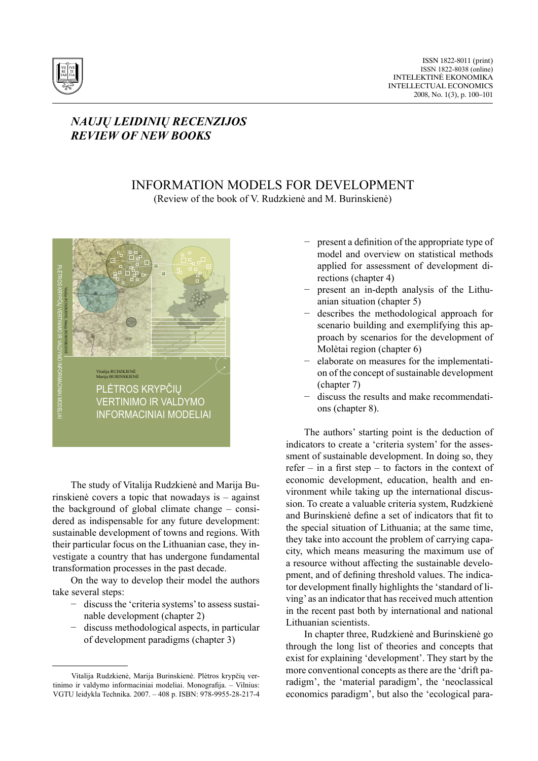

## *NAUJŲ LEIDINIŲ RECENZIJOS REVIEW OF NEW BOOKS*

## Information Models for development

(Review of the book of V. Rudzkienė and M. Burinskienė)



The study of Vitalija Rudzkienė and Marija Burinskienė covers a topic that nowadays is – against the background of global climate change – considered as indispensable for any future development: sustainable development of towns and regions. With their particular focus on the Lithuanian case, they investigate a country that has undergone fundamental transformation processes in the past decade.

On the way to develop their model the authors take several steps:

- − discuss the 'criteria systems'to assess sustainable development (chapter 2)
- discuss methodological aspects, in particular of development paradigms (chapter 3)
- present a definition of the appropriate type of model and overview on statistical methods applied for assessment of development directions (chapter 4)
- present an in-depth analysis of the Lithuanian situation (chapter 5)
- describes the methodological approach for scenario building and exemplifying this approach by scenarios for the development of Molėtai region (chapter 6)
- − elaborate on measures for the implementation of the concept of sustainable development (chapter 7)
- − discuss the results and make recommendations (chapter 8).

The authors' starting point is the deduction of indicators to create a 'criteria system' for the assessment of sustainable development. In doing so, they refer – in a first step – to factors in the context of economic development, education, health and environment while taking up the international discussion. To create a valuable criteria system, Rudzkienė and Burinskienė define a set of indicators that fit to the special situation of Lithuania; at the same time, they take into account the problem of carrying capacity, which means measuring the maximum use of a resource without affecting the sustainable development, and of defining threshold values. The indicator development finally highlights the 'standard of living' as an indicator that has received much attention in the recent past both by international and national Lithuanian scientists.

In chapter three, Rudzkienė and Burinskienė go through the long list of theories and concepts that exist for explaining 'development'. They start by the more conventional concepts as there are the 'drift paradigm', the 'material paradigm', the 'neoclassical economics paradigm', but also the 'ecological para-

Vitalija Rudzkienė, Marija Burinskienė. Plėtros krypčių vertinimo ir valdymo informaciniai modeliai. Monografija. – Vilnius: VGTU leidykla Technika. 2007. – 408 p. ISBN: 978-9955-28-217-4